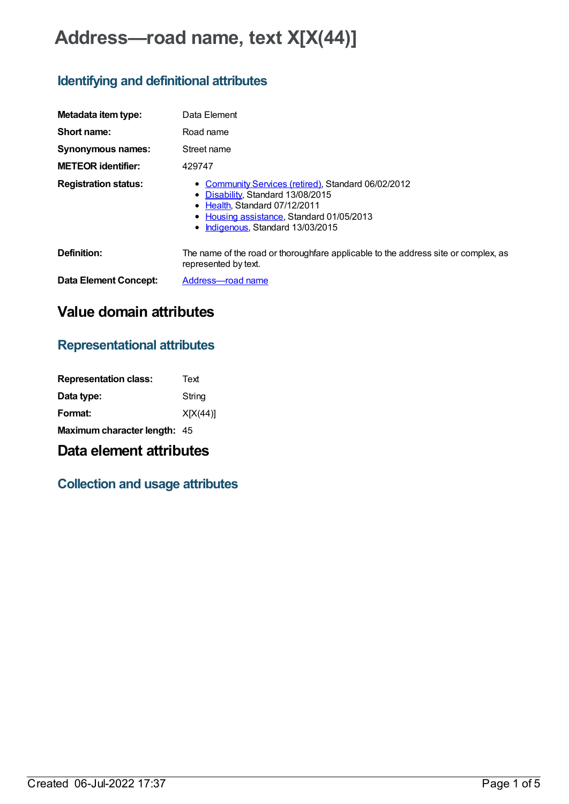# **Address—road name, text X[X(44)]**

## **Identifying and definitional attributes**

| Metadata item type:         | Data Element                                                                                                                                                                                                |
|-----------------------------|-------------------------------------------------------------------------------------------------------------------------------------------------------------------------------------------------------------|
| Short name:                 | Road name                                                                                                                                                                                                   |
| Synonymous names:           | Street name                                                                                                                                                                                                 |
| <b>METEOR identifier:</b>   | 429747                                                                                                                                                                                                      |
| <b>Registration status:</b> | • Community Services (retired), Standard 06/02/2012<br>• Disability, Standard 13/08/2015<br>• Health, Standard 07/12/2011<br>• Housing assistance, Standard 01/05/2013<br>• Indigenous, Standard 13/03/2015 |
| Definition:                 | The name of the road or thoroughfare applicable to the address site or complex, as<br>represented by text.                                                                                                  |
| Data Element Concept:       | Address-road name                                                                                                                                                                                           |

## **Value domain attributes**

### **Representational attributes**

| <b>Representation class:</b> | Text     |
|------------------------------|----------|
| Data type:                   | String   |
| Format:                      | X[X(44)] |
| Maximum character length: 45 |          |

## **Data element attributes**

### **Collection and usage attributes**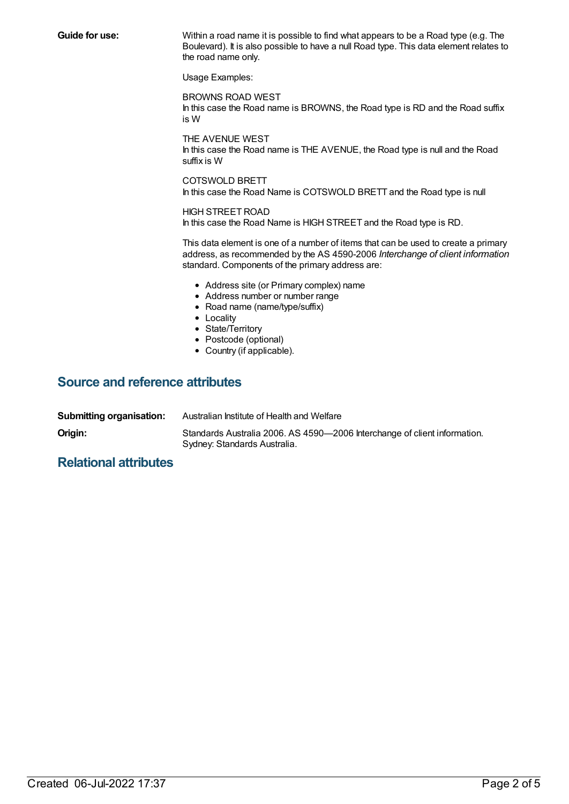**Guide for use:** Within a road name it is possible to find what appears to be a Road type (e.g. The Boulevard). It is also possible to have a null Road type. This data element relates to the road name only.

Usage Examples:

BROWNS ROAD WEST In this case the Road name is BROWNS, the Road type is RD and the Road suffix is W

THE AVENUE WEST In this case the Road name is THE AVENUE, the Road type is null and the Road suffix is W

COTSWOLD BRETT In this case the Road Name is COTSWOLD BRETT and the Road type is null

### HIGH STREET ROAD

In this case the Road Name is HIGH STREET and the Road type is RD.

This data element is one of a number of items that can be used to create a primary address, as recommended by the AS 4590-2006 *Interchange of client information* standard. Components of the primary address are:

- Address site (or Primary complex) name
- Address number or number range
- Road name (name/type/suffix)
- Locality
- State/Territory
- Postcode (optional)
- Country (if applicable).

#### **Source and reference attributes**

| Submitting organisation: | Australian Institute of Health and Welfare                                                                |
|--------------------------|-----------------------------------------------------------------------------------------------------------|
| Origin:                  | Standards Australia 2006. AS 4590-2006 Interchange of client information.<br>Sydney: Standards Australia. |

#### **Relational attributes**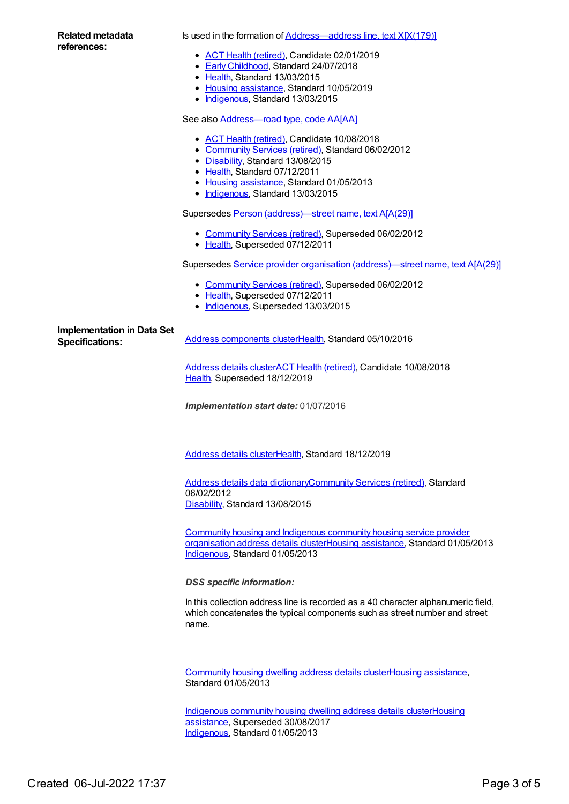| Related metadata |
|------------------|
| references:      |

Is used in the formation of [Address—address](https://meteor.aihw.gov.au/content/594217) line, text X[X(179)]

- ACT Health [\(retired\)](https://meteor.aihw.gov.au/RegistrationAuthority/9), Candidate 02/01/2019
- **Early [Childhood](https://meteor.aihw.gov.au/RegistrationAuthority/13), Standard 24/07/2018**
- [Health](https://meteor.aihw.gov.au/RegistrationAuthority/12), Standard 13/03/2015
- Housing [assistance](https://meteor.aihw.gov.au/RegistrationAuthority/11), Standard 10/05/2019
- [Indigenous](https://meteor.aihw.gov.au/RegistrationAuthority/6), Standard 13/03/2015

See also **[Address—road](https://meteor.aihw.gov.au/content/429840) type, code AA[AA]** 

- ACT Health [\(retired\)](https://meteor.aihw.gov.au/RegistrationAuthority/9), Candidate 10/08/2018
- [Community](https://meteor.aihw.gov.au/RegistrationAuthority/1) Services (retired), Standard 06/02/2012
- [Disability](https://meteor.aihw.gov.au/RegistrationAuthority/16), Standard 13/08/2015
- [Health](https://meteor.aihw.gov.au/RegistrationAuthority/12), Standard 07/12/2011
- Housing [assistance](https://meteor.aihw.gov.au/RegistrationAuthority/11), Standard 01/05/2013
- [Indigenous](https://meteor.aihw.gov.au/RegistrationAuthority/6), Standard 13/03/2015

Supersedes Person [\(address\)—street](https://meteor.aihw.gov.au/content/270019) name, text A[A(29)]

- [Community](https://meteor.aihw.gov.au/RegistrationAuthority/1) Services (retired), Superseded 06/02/2012 • [Health](https://meteor.aihw.gov.au/RegistrationAuthority/12), Superseded 07/12/2011
- 

Supersedes Service provider organisation [\(address\)—street](https://meteor.aihw.gov.au/content/290218) name, text A[A(29)]

- [Community](https://meteor.aihw.gov.au/RegistrationAuthority/1) Services (retired), Superseded 06/02/2012
- [Health](https://meteor.aihw.gov.au/RegistrationAuthority/12), Superseded 07/12/2011
- [Indigenous](https://meteor.aihw.gov.au/RegistrationAuthority/6), Superseded 13/03/2015

**Implementation in Data Set**

**Specifications:** Address [components](https://meteor.aihw.gov.au/content/611149) cluste[rHealth](https://meteor.aihw.gov.au/RegistrationAuthority/12), Standard 05/10/2016

[Address](https://meteor.aihw.gov.au/content/619372) details clusterACT Health [\(retired\)](https://meteor.aihw.gov.au/RegistrationAuthority/9), Candidate 10/08/2018 [Health](https://meteor.aihw.gov.au/RegistrationAuthority/12), Superseded 18/12/2019

*Implementation start date:* 01/07/2016

[Address](https://meteor.aihw.gov.au/content/722753) details cluste[rHealth](https://meteor.aihw.gov.au/RegistrationAuthority/12), Standard 18/12/2019

Address details data [dictionary](https://meteor.aihw.gov.au/content/434713)[Community](https://meteor.aihw.gov.au/RegistrationAuthority/1) Services (retired), Standard 06/02/2012 [Disability](https://meteor.aihw.gov.au/RegistrationAuthority/16), Standard 13/08/2015

Community housing and Indigenous community housing service provider organisation address details [clusterHousing](https://meteor.aihw.gov.au/content/497755) [assistance](https://meteor.aihw.gov.au/RegistrationAuthority/11), Standard 01/05/2013 [Indigenous](https://meteor.aihw.gov.au/RegistrationAuthority/6), Standard 01/05/2013

*DSS specific information:*

In this collection address line is recorded as a 40 character alphanumeric field, which concatenates the typical components such as street number and street name.

[Community](https://meteor.aihw.gov.au/content/497772) housing dwelling address details clusterHousing [assistance](https://meteor.aihw.gov.au/RegistrationAuthority/11), Standard 01/05/2013

[Indigenous](https://meteor.aihw.gov.au/content/498022) community housing dwelling address details [clusterHousing](https://meteor.aihw.gov.au/RegistrationAuthority/11) assistance, Superseded 30/08/2017 [Indigenous](https://meteor.aihw.gov.au/RegistrationAuthority/6), Standard 01/05/2013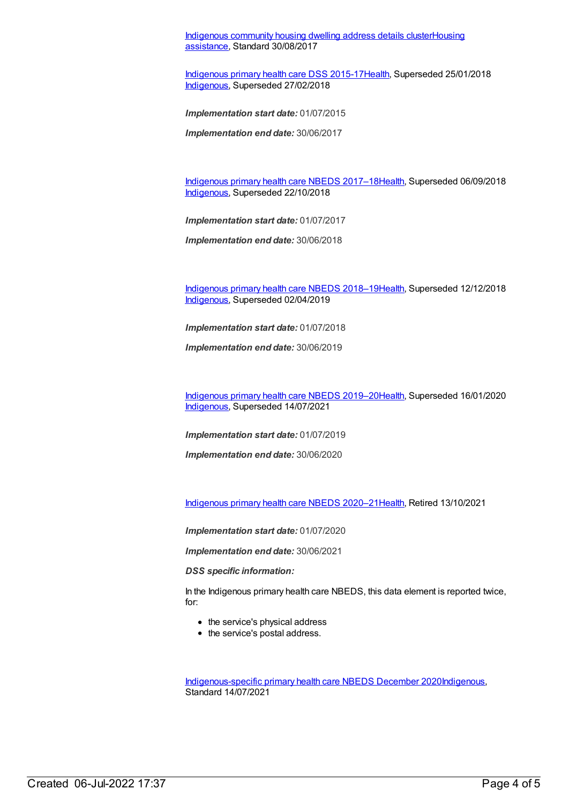[Indigenous](https://meteor.aihw.gov.au/content/614161) community housing dwelling address details [clusterHousing](https://meteor.aihw.gov.au/RegistrationAuthority/11) assistance, Standard 30/08/2017

[Indigenous](https://meteor.aihw.gov.au/content/585036) primary health care DSS 2015-1[7Health](https://meteor.aihw.gov.au/RegistrationAuthority/12), Superseded 25/01/2018 [Indigenous](https://meteor.aihw.gov.au/RegistrationAuthority/6), Superseded 27/02/2018

*Implementation start date:* 01/07/2015

*Implementation end date:* 30/06/2017

[Indigenous](https://meteor.aihw.gov.au/content/686603) primary health care NBEDS 2017–18[Health](https://meteor.aihw.gov.au/RegistrationAuthority/12), Superseded 06/09/2018 [Indigenous](https://meteor.aihw.gov.au/RegistrationAuthority/6), Superseded 22/10/2018

*Implementation start date:* 01/07/2017

*Implementation end date:* 30/06/2018

[Indigenous](https://meteor.aihw.gov.au/content/694101) primary health care NBEDS 2018–19[Health](https://meteor.aihw.gov.au/RegistrationAuthority/12), Superseded 12/12/2018 [Indigenous](https://meteor.aihw.gov.au/RegistrationAuthority/6), Superseded 02/04/2019

*Implementation start date:* 01/07/2018

*Implementation end date:* 30/06/2019

[Indigenous](https://meteor.aihw.gov.au/content/707502) primary health care NBEDS 2019–20[Health](https://meteor.aihw.gov.au/RegistrationAuthority/12), Superseded 16/01/2020 [Indigenous](https://meteor.aihw.gov.au/RegistrationAuthority/6), Superseded 14/07/2021

*Implementation start date:* 01/07/2019

*Implementation end date:* 30/06/2020

[Indigenous](https://meteor.aihw.gov.au/content/715320) primary health care NBEDS 2020–21[Health](https://meteor.aihw.gov.au/RegistrationAuthority/12), Retired 13/10/2021

*Implementation start date:* 01/07/2020

*Implementation end date:* 30/06/2021

*DSS specific information:*

In the Indigenous primary health care NBEDS, this data element is reported twice, for:

- the service's physical address
- the service's postal address.

[Indigenous-specific](https://meteor.aihw.gov.au/content/738532) primary health care NBEDS December 2020[Indigenous](https://meteor.aihw.gov.au/RegistrationAuthority/6), Standard 14/07/2021